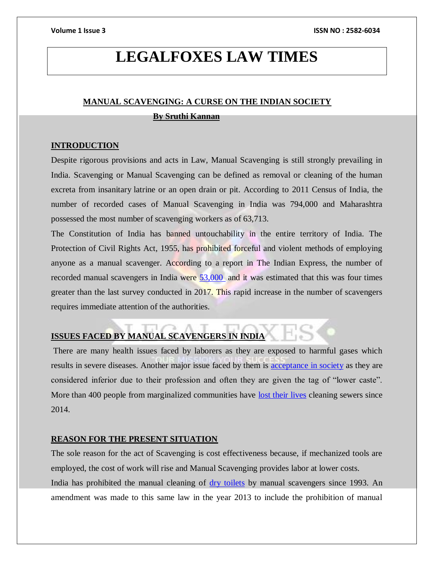# **LEGALFOXES LAW TIMES**

### **MANUAL SCAVENGING: A CURSE ON THE INDIAN SOCIETY**

### **By Sruthi Kannan**

### **INTRODUCTION**

Despite rigorous provisions and acts in Law, Manual Scavenging is still strongly prevailing in India. Scavenging or Manual Scavenging can be defined as removal or cleaning of the human excreta from insanitary latrine or an open drain or pit. According to 2011 Census of India, the number of recorded cases of Manual Scavenging in India was 794,000 and Maharashtra possessed the most number of scavenging workers as of 63,713.

The Constitution of India has banned untouchability in the entire territory of India. The Protection of Civil Rights Act, 1955, has prohibited forceful and violent methods of employing anyone as a manual scavenger. According to a report in The Indian Express, the number of recorded manual scavengers in India were [53,000](https://www.bing.com/search?q=https%3A%2F%2Fwww.news18.com%2Fnews%2Fbuzz%2Fhow-many-manual-scavengers-are-there-in-india-official-data-is-self-contradictory-1880197.html&form=PRINEN&pc=EUPP_&httpsmsn=1&msnews=1&refig=27ffa1a6e345443aa16681ab258a31da&sp=-1&pq=https%3A%2F%2Fwww.news18.com%2Fnews%2Fbuzz%2Fhow-many-manual-scavengers-are-there-in-india-official-data-is-self-contradictory-1880197.html&sc=0-127&qs=n&sk=&cvid=27ffa1a6e345443aa16681ab258a31da) and it was estimated that this was four times greater than the last survey conducted in 2017. This rapid increase in the number of scavengers requires immediate attention of the authorities.

## **ISSUES FACED BY MANUAL SCAVENGERS IN INDIA**

There are many health issues faced by laborers as they are exposed to harmful gases which results in severe diseases. Another major issue faced by them is [acceptance in society](https://www.bing.com/search?q=https%3A%2F%2Fwww.youthkiawaaz.com%2F2019%2F07%2Fdo-we-care-who-cleans-our-shitanalysing-the-woeful-plight-of-manual-scavengers-in-india%2F&form=PRINEN&pc=EUPP_&httpsmsn=1&msnews=1&refig=c29d60e9495c4cb0a876ba93687fdfa3&sp=-1&pq=&sc=0-0&qs=n&sk=&cvid=c29d60e9495c4cb0a876ba93687fdfa3) as they are considered inferior due to their profession and often they are given the tag of "lower caste". More than 400 people from marginalized communities have [lost their lives](https://www.bing.com/search?q=https%3A%2F%2Fscroll.in%2Farticle%2F943264%2Fthe-frequent-deaths-of-indias-sewer-workers-isnt-a-governance-failure-they-are-rooted-in-caste&form=PRINEN&pc=EUPP_&httpsmsn=1&msnews=1&refig=7c76d9019a6f42ce8f69ecfc7da16e42&sp=-1&pq=&sc=0-0&qs=n&sk=&cvid=7c76d9019a6f42ce8f69ecfc7da16e42) cleaning sewers since 2014.

### **REASON FOR THE PRESENT SITUATION**

The sole reason for the act of Scavenging is cost effectiveness because, if mechanized tools are employed, the cost of work will rise and Manual Scavenging provides labor at lower costs. India has prohibited the manual cleaning of [dry toilets](http://../Desktop/TheEmploymentAct1993.pdf) by manual scavengers since 1993. An amendment was made to this same law in the year 2013 to include the prohibition of manual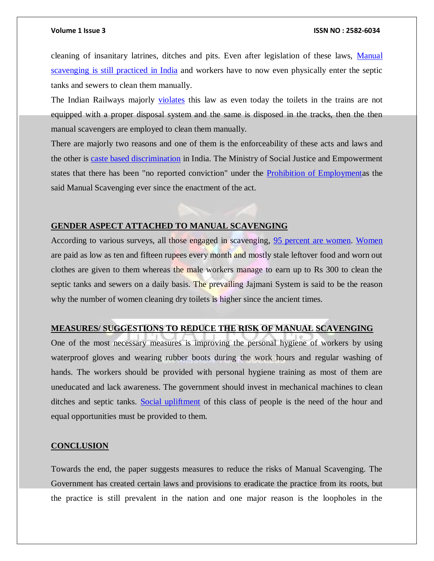cleaning of insanitary latrines, ditches and pits. Even after legislation of these laws, [Manual](https://www.bing.com/search?q=https%3A%2F%2Fwww.thehindu.com%2Fnews%2Fnational%2Findias-manual-scavenging-problem%2Farticle30834545.ece%2Famp%2F&form=PRINEN&pc=EUPP_&httpsmsn=1&msnews=1&refig=80fe632d46fb4ace8975bb13e7cdb460&sp=-1&pq=https%3A%2F%2Fwww.thehindu.com%2Fnews%2Fnational%2Findias-manual-scavenging-problem%2Farticle30834545.ece%2Famp%2F&sc=0-96&qs=n&sk=&cvid=80fe632d46fb4ace8975bb13e7cdb460)  [scavenging is still practiced in India](https://www.bing.com/search?q=https%3A%2F%2Fwww.thehindu.com%2Fnews%2Fnational%2Findias-manual-scavenging-problem%2Farticle30834545.ece%2Famp%2F&form=PRINEN&pc=EUPP_&httpsmsn=1&msnews=1&refig=80fe632d46fb4ace8975bb13e7cdb460&sp=-1&pq=https%3A%2F%2Fwww.thehindu.com%2Fnews%2Fnational%2Findias-manual-scavenging-problem%2Farticle30834545.ece%2Famp%2F&sc=0-96&qs=n&sk=&cvid=80fe632d46fb4ace8975bb13e7cdb460) and workers have to now even physically enter the septic tanks and sewers to clean them manually.

The Indian Railways majorly [violates](http://../Desktop/manual-scavenging-in-india.htm) this law as even today the toilets in the trains are not equipped with a proper disposal system and the same is disposed in the tracks, then the then manual scavengers are employed to clean them manually.

There are majorly two reasons and one of them is the enforceability of these acts and laws and the other is [caste based discrimination](https://www.bing.com/search?q=https%3A%2F%2Fwww.hrw.org%2Freport%2F2014%2F08%2F25%2Fcleaning-human-waste%2Fmanual-scavenging-caste-and-discrimination-india&form=PRINEN&pc=EUPP_&httpsmsn=1&msnews=1&refig=63e89e8dda984ac79eab1fd066a7c3f1&sp=-1&pq=https%3A%2F%2Fwww.hrw.org%2Freport%2F2014%2F08%2F25%2Fcleaning-human-waste%2Fmanual-scavenging-caste-and-discrimination-india&sc=0-107&qs=n&sk=&cvid=63e89e8dda984ac79eab1fd066a7c3f1) in India. The Ministry of Social Justice and Empowerment states that there has been "no reported conviction" under the [Prohibition of Employmenta](http://../Desktop/A2013-25.pdf)s the said Manual Scavenging ever since the enactment of the act.

### **GENDER ASPECT ATTACHED TO MANUAL SCAVENGING**

According to various surveys, all those engaged in scavenging, [95 percent are women.](https://www.bing.com/search?q=https%3A%2F%2Fwww.reuters.com%2Farticle%2Fus-india-scavenging-women-idUSKCN0W503U&form=PRINEN&pc=EUPP_&httpsmsn=1&msnews=1&refig=622c15f58c08460b9b52090c7addf4b8&sp=-1&pq=&sc=0-0&qs=n&sk=&cvid=622c15f58c08460b9b52090c7addf4b8) [Women](https://www.bing.com/search?q=1.%09Dr.+M.+Hilaria+Soundari+%26+J.Maria+Joseph+Louis%2C+Women+At+Work+In+Manual+Scavenging%3A+A+Study+From+Legal+Perspective%2C+ISSN%3A+2321-788X+%282018%29+&form=PRINEN&pc=EUPP_&httpsmsn=1&msnews=1&refig=60e492ec6ef14ab2b91666ecd101e417&sp=-1&pq=&sc=0-0&qs=n&sk=&cvid=60e492ec6ef14ab2b91666ecd101e417) are paid as low as ten and fifteen rupees every month and mostly stale leftover food and worn out clothes are given to them whereas the male workers manage to earn up to Rs 300 to clean the septic tanks and sewers on a daily basis. The prevailing Jajmani System is said to be the reason why the number of women cleaning dry toilets is higher since the ancient times.

### **MEASURES/ SUGGESTIONS TO REDUCE THE RISK OF MANUAL SCAVENGING**

One of the most necessary measures is improving the personal hygiene of workers by using waterproof gloves and wearing rubber boots during the work hours and regular washing of hands. The workers should be provided with personal hygiene training as most of them are uneducated and lack awareness. The government should invest in mechanical machines to clean ditches and septic tanks. [Social upliftment](https://www.undp.org/content/dam/india/docs/pub-povertyreduction/Social-inclusion-of-Manual-Scavengers.pdf) of this class of people is the need of the hour and equal opportunities must be provided to them.

### **CONCLUSION**

Towards the end, the paper suggests measures to reduce the risks of Manual Scavenging. The Government has created certain laws and provisions to eradicate the practice from its roots, but the practice is still prevalent in the nation and one major reason is the loopholes in the